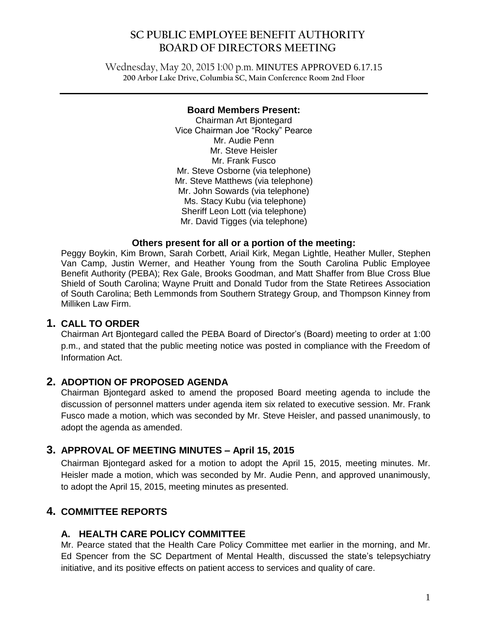# **SC PUBLIC EMPLOYEE BENEFIT AUTHORITY BOARD OF DIRECTORS MEETING**

Wednesday, May 20, 2015 1:00 p.m. MINUTES APPROVED 6.17.15 **200 Arbor Lake Drive, Columbia SC, Main Conference Room 2nd Floor**

 $\mathcal{L}_\mathcal{L} = \mathcal{L}_\mathcal{L} = \mathcal{L}_\mathcal{L} = \mathcal{L}_\mathcal{L} = \mathcal{L}_\mathcal{L} = \mathcal{L}_\mathcal{L} = \mathcal{L}_\mathcal{L} = \mathcal{L}_\mathcal{L} = \mathcal{L}_\mathcal{L} = \mathcal{L}_\mathcal{L} = \mathcal{L}_\mathcal{L} = \mathcal{L}_\mathcal{L} = \mathcal{L}_\mathcal{L} = \mathcal{L}_\mathcal{L} = \mathcal{L}_\mathcal{L} = \mathcal{L}_\mathcal{L} = \mathcal{L}_\mathcal{L}$ 

#### **Board Members Present:**

Chairman Art Bjontegard Vice Chairman Joe "Rocky" Pearce Mr. Audie Penn Mr. Steve Heisler Mr. Frank Fusco Mr. Steve Osborne (via telephone) Mr. Steve Matthews (via telephone) Mr. John Sowards (via telephone) Ms. Stacy Kubu (via telephone) Sheriff Leon Lott (via telephone) Mr. David Tigges (via telephone)

#### **Others present for all or a portion of the meeting:**

Peggy Boykin, Kim Brown, Sarah Corbett, Ariail Kirk, Megan Lightle, Heather Muller, Stephen Van Camp, Justin Werner, and Heather Young from the South Carolina Public Employee Benefit Authority (PEBA); Rex Gale, Brooks Goodman, and Matt Shaffer from Blue Cross Blue Shield of South Carolina; Wayne Pruitt and Donald Tudor from the State Retirees Association of South Carolina; Beth Lemmonds from Southern Strategy Group, and Thompson Kinney from Milliken Law Firm.

## **1. CALL TO ORDER**

Chairman Art Bjontegard called the PEBA Board of Director's (Board) meeting to order at 1:00 p.m., and stated that the public meeting notice was posted in compliance with the Freedom of Information Act.

## **2. ADOPTION OF PROPOSED AGENDA**

Chairman Bjontegard asked to amend the proposed Board meeting agenda to include the discussion of personnel matters under agenda item six related to executive session. Mr. Frank Fusco made a motion, which was seconded by Mr. Steve Heisler, and passed unanimously, to adopt the agenda as amended.

# **3. APPROVAL OF MEETING MINUTES – April 15, 2015**

Chairman Bjontegard asked for a motion to adopt the April 15, 2015, meeting minutes. Mr. Heisler made a motion, which was seconded by Mr. Audie Penn, and approved unanimously, to adopt the April 15, 2015, meeting minutes as presented.

## **4. COMMITTEE REPORTS**

### **A. HEALTH CARE POLICY COMMITTEE**

Mr. Pearce stated that the Health Care Policy Committee met earlier in the morning, and Mr. Ed Spencer from the SC Department of Mental Health, discussed the state's telepsychiatry initiative, and its positive effects on patient access to services and quality of care.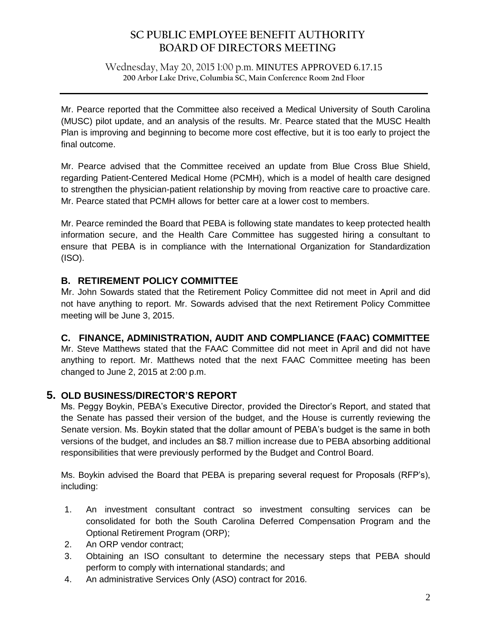# **SC PUBLIC EMPLOYEE BENEFIT AUTHORITY BOARD OF DIRECTORS MEETING**

Wednesday, May 20, 2015 1:00 p.m. MINUTES APPROVED 6.17.15 **200 Arbor Lake Drive, Columbia SC, Main Conference Room 2nd Floor**

 $\mathcal{L}_\mathcal{L} = \mathcal{L}_\mathcal{L} = \mathcal{L}_\mathcal{L} = \mathcal{L}_\mathcal{L} = \mathcal{L}_\mathcal{L} = \mathcal{L}_\mathcal{L} = \mathcal{L}_\mathcal{L} = \mathcal{L}_\mathcal{L} = \mathcal{L}_\mathcal{L} = \mathcal{L}_\mathcal{L} = \mathcal{L}_\mathcal{L} = \mathcal{L}_\mathcal{L} = \mathcal{L}_\mathcal{L} = \mathcal{L}_\mathcal{L} = \mathcal{L}_\mathcal{L} = \mathcal{L}_\mathcal{L} = \mathcal{L}_\mathcal{L}$ 

Mr. Pearce reported that the Committee also received a Medical University of South Carolina (MUSC) pilot update, and an analysis of the results. Mr. Pearce stated that the MUSC Health Plan is improving and beginning to become more cost effective, but it is too early to project the final outcome.

Mr. Pearce advised that the Committee received an update from Blue Cross Blue Shield, regarding Patient-Centered Medical Home (PCMH), which is a model of health care designed to strengthen the physician-patient relationship by moving from reactive care to proactive care. Mr. Pearce stated that PCMH allows for better care at a lower cost to members.

Mr. Pearce reminded the Board that PEBA is following state mandates to keep protected health information secure, and the Health Care Committee has suggested hiring a consultant to ensure that PEBA is in compliance with the International Organization for Standardization (ISO).

## **B. RETIREMENT POLICY COMMITTEE**

Mr. John Sowards stated that the Retirement Policy Committee did not meet in April and did not have anything to report. Mr. Sowards advised that the next Retirement Policy Committee meeting will be June 3, 2015.

### **C. FINANCE, ADMINISTRATION, AUDIT AND COMPLIANCE (FAAC) COMMITTEE**

Mr. Steve Matthews stated that the FAAC Committee did not meet in April and did not have anything to report. Mr. Matthews noted that the next FAAC Committee meeting has been changed to June 2, 2015 at 2:00 p.m.

### **5. OLD BUSINESS/DIRECTOR'S REPORT**

Ms. Peggy Boykin, PEBA's Executive Director, provided the Director's Report, and stated that the Senate has passed their version of the budget, and the House is currently reviewing the Senate version. Ms. Boykin stated that the dollar amount of PEBA's budget is the same in both versions of the budget, and includes an \$8.7 million increase due to PEBA absorbing additional responsibilities that were previously performed by the Budget and Control Board.

Ms. Boykin advised the Board that PEBA is preparing several request for Proposals (RFP's), including:

- 1. An investment consultant contract so investment consulting services can be consolidated for both the South Carolina Deferred Compensation Program and the Optional Retirement Program (ORP);
- 2. An ORP vendor contract;
- 3. Obtaining an ISO consultant to determine the necessary steps that PEBA should perform to comply with international standards; and
- 4. An administrative Services Only (ASO) contract for 2016.